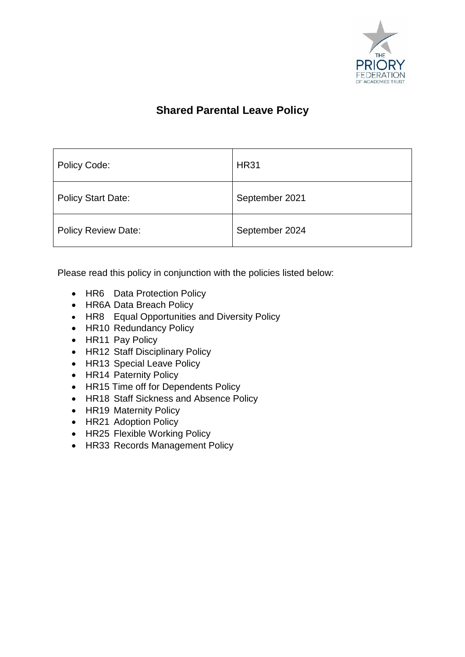

# **Shared Parental Leave Policy**

| Policy Code:               | <b>HR31</b>    |
|----------------------------|----------------|
| <b>Policy Start Date:</b>  | September 2021 |
| <b>Policy Review Date:</b> | September 2024 |

Please read this policy in conjunction with the policies listed below:

- HR6 Data Protection Policy
- HR6A Data Breach Policy
- HR8 Equal Opportunities and Diversity Policy
- HR10 Redundancy Policy
- HR11 Pay Policy
- HR12 Staff Disciplinary Policy
- HR13 Special Leave Policy
- HR14 Paternity Policy
- HR15 Time off for Dependents Policy
- HR18 Staff Sickness and Absence Policy
- HR19 Maternity Policy
- HR21 Adoption Policy
- HR25 Flexible Working Policy
- HR33 Records Management Policy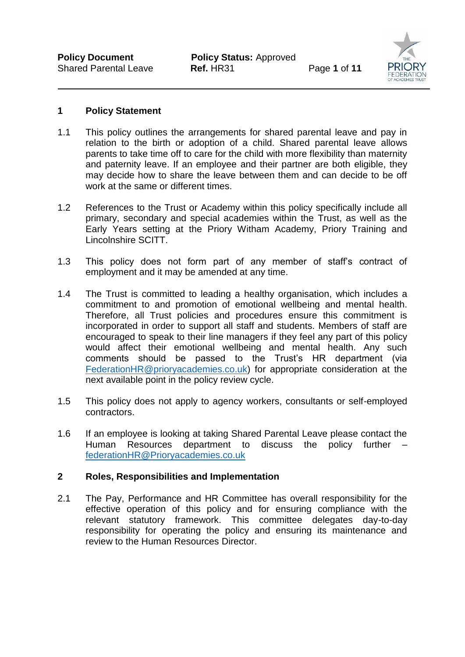

#### **1 Policy Statement**

- 1.1 This policy outlines the arrangements for shared parental leave and pay in relation to the birth or adoption of a child. Shared parental leave allows parents to take time off to care for the child with more flexibility than maternity and paternity leave. If an employee and their partner are both eligible, they may decide how to share the leave between them and can decide to be off work at the same or different times.
- 1.2 References to the Trust or Academy within this policy specifically include all primary, secondary and special academies within the Trust, as well as the Early Years setting at the Priory Witham Academy, Priory Training and Lincolnshire SCITT.
- 1.3 This policy does not form part of any member of staff's contract of employment and it may be amended at any time.
- 1.4 The Trust is committed to leading a healthy organisation, which includes a commitment to and promotion of emotional wellbeing and mental health. Therefore, all Trust policies and procedures ensure this commitment is incorporated in order to support all staff and students. Members of staff are encouraged to speak to their line managers if they feel any part of this policy would affect their emotional wellbeing and mental health. Any such comments should be passed to the Trust's HR department (via [FederationHR@prioryacademies.co.uk\)](mailto:FederationHR@prioryacademies.co.uk) for appropriate consideration at the next available point in the policy review cycle.
- 1.5 This policy does not apply to agency workers, consultants or self-employed contractors.
- 1.6 If an employee is looking at taking Shared Parental Leave please contact the Human Resources department to discuss the policy further [federationHR@Prioryacademies.co.uk](mailto:federationHR@Prioryacademies.co.uk)

#### **2 Roles, Responsibilities and Implementation**

2.1 The Pay, Performance and HR Committee has overall responsibility for the effective operation of this policy and for ensuring compliance with the relevant statutory framework. This committee delegates day-to-day responsibility for operating the policy and ensuring its maintenance and review to the Human Resources Director.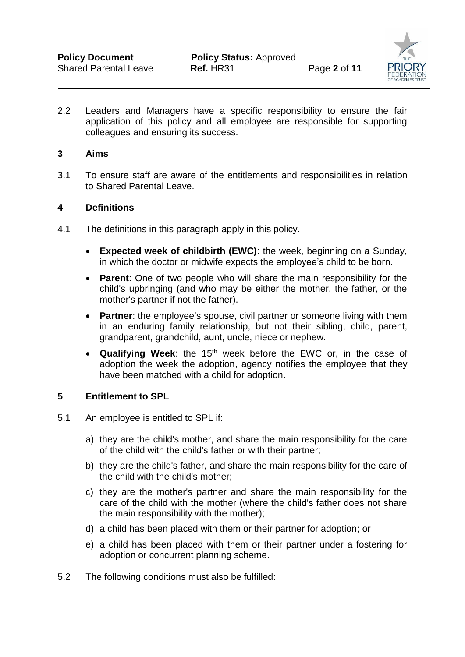

2.2 Leaders and Managers have a specific responsibility to ensure the fair application of this policy and all employee are responsible for supporting colleagues and ensuring its success.

#### **3 Aims**

3.1 To ensure staff are aware of the entitlements and responsibilities in relation to Shared Parental Leave.

#### **4 Definitions**

- 4.1 The definitions in this paragraph apply in this policy.
	- **Expected week of childbirth (EWC)**: the week, beginning on a Sunday, in which the doctor or midwife expects the employee's child to be born.
	- **Parent:** One of two people who will share the main responsibility for the child's upbringing (and who may be either the mother, the father, or the mother's partner if not the father).
	- **Partner**: the employee's spouse, civil partner or someone living with them in an enduring family relationship, but not their sibling, child, parent, grandparent, grandchild, aunt, uncle, niece or nephew.
	- **Qualifying Week:** the 15<sup>th</sup> week before the EWC or, in the case of adoption the week the adoption, agency notifies the employee that they have been matched with a child for adoption.

#### **5 Entitlement to SPL**

- 5.1 An employee is entitled to SPL if:
	- a) they are the child's mother, and share the main responsibility for the care of the child with the child's father or with their partner;
	- b) they are the child's father, and share the main responsibility for the care of the child with the child's mother;
	- c) they are the mother's partner and share the main responsibility for the care of the child with the mother (where the child's father does not share the main responsibility with the mother);
	- d) a child has been placed with them or their partner for adoption; or
	- e) a child has been placed with them or their partner under a fostering for adoption or concurrent planning scheme.
- 5.2 The following conditions must also be fulfilled: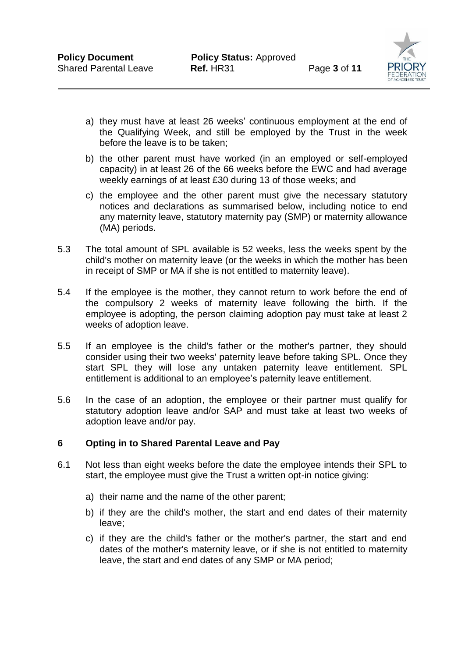

- a) they must have at least 26 weeks' continuous employment at the end of the Qualifying Week, and still be employed by the Trust in the week before the leave is to be taken;
- b) the other parent must have worked (in an employed or self-employed capacity) in at least 26 of the 66 weeks before the EWC and had average weekly earnings of at least £30 during 13 of those weeks; and
- c) the employee and the other parent must give the necessary statutory notices and declarations as summarised below, including notice to end any maternity leave, statutory maternity pay (SMP) or maternity allowance (MA) periods.
- 5.3 The total amount of SPL available is 52 weeks, less the weeks spent by the child's mother on maternity leave (or the weeks in which the mother has been in receipt of SMP or MA if she is not entitled to maternity leave).
- 5.4 If the employee is the mother, they cannot return to work before the end of the compulsory 2 weeks of maternity leave following the birth. If the employee is adopting, the person claiming adoption pay must take at least 2 weeks of adoption leave.
- 5.5 If an employee is the child's father or the mother's partner, they should consider using their two weeks' paternity leave before taking SPL. Once they start SPL they will lose any untaken paternity leave entitlement. SPL entitlement is additional to an employee's paternity leave entitlement.
- 5.6 In the case of an adoption, the employee or their partner must qualify for statutory adoption leave and/or SAP and must take at least two weeks of adoption leave and/or pay.

#### **6 Opting in to Shared Parental Leave and Pay**

- 6.1 Not less than eight weeks before the date the employee intends their SPL to start, the employee must give the Trust a written opt-in notice giving:
	- a) their name and the name of the other parent;
	- b) if they are the child's mother, the start and end dates of their maternity leave;
	- c) if they are the child's father or the mother's partner, the start and end dates of the mother's maternity leave, or if she is not entitled to maternity leave, the start and end dates of any SMP or MA period;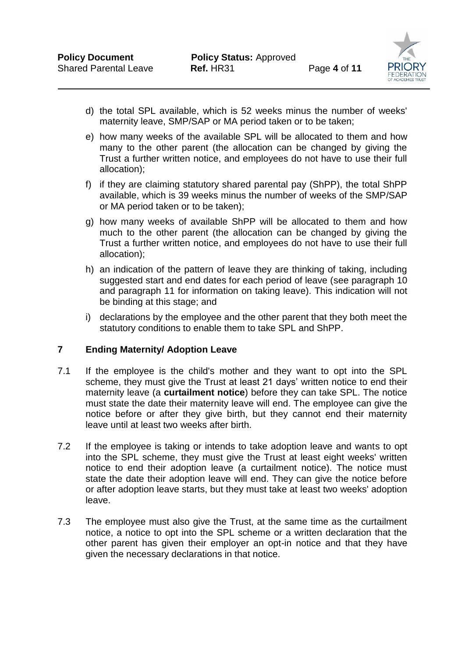

- d) the total SPL available, which is 52 weeks minus the number of weeks' maternity leave, SMP/SAP or MA period taken or to be taken;
- e) how many weeks of the available SPL will be allocated to them and how many to the other parent (the allocation can be changed by giving the Trust a further written notice, and employees do not have to use their full allocation);
- f) if they are claiming statutory shared parental pay (ShPP), the total ShPP available, which is 39 weeks minus the number of weeks of the SMP/SAP or MA period taken or to be taken);
- g) how many weeks of available ShPP will be allocated to them and how much to the other parent (the allocation can be changed by giving the Trust a further written notice, and employees do not have to use their full allocation);
- h) an indication of the pattern of leave they are thinking of taking, including suggested start and end dates for each period of leave (see paragraph 10 and paragraph 11 for information on taking leave). This indication will not be binding at this stage; and
- i) declarations by the employee and the other parent that they both meet the statutory conditions to enable them to take SPL and ShPP.

# **7 Ending Maternity/ Adoption Leave**

- 7.1 If the employee is the child's mother and they want to opt into the SPL scheme, they must give the Trust at least 21 days' written notice to end their maternity leave (a **curtailment notice**) before they can take SPL. The notice must state the date their maternity leave will end. The employee can give the notice before or after they give birth, but they cannot end their maternity leave until at least two weeks after birth.
- 7.2 If the employee is taking or intends to take adoption leave and wants to opt into the SPL scheme, they must give the Trust at least eight weeks' written notice to end their adoption leave (a curtailment notice). The notice must state the date their adoption leave will end. They can give the notice before or after adoption leave starts, but they must take at least two weeks' adoption leave.
- 7.3 The employee must also give the Trust, at the same time as the curtailment notice, a notice to opt into the SPL scheme or a written declaration that the other parent has given their employer an opt-in notice and that they have given the necessary declarations in that notice.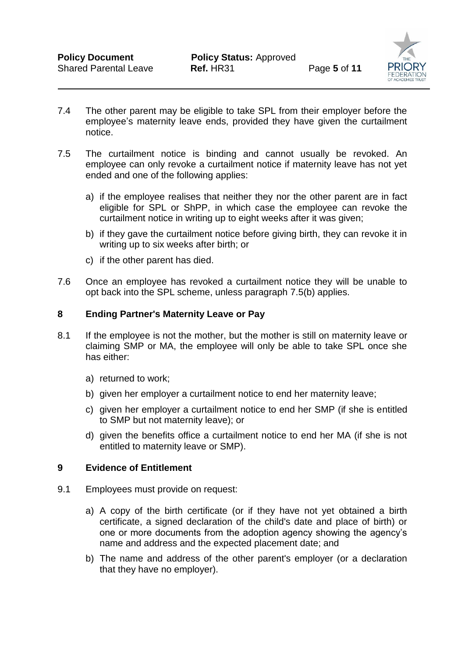

- 7.4 The other parent may be eligible to take SPL from their employer before the employee's maternity leave ends, provided they have given the curtailment notice.
- 7.5 The curtailment notice is binding and cannot usually be revoked. An employee can only revoke a curtailment notice if maternity leave has not yet ended and one of the following applies:
	- a) if the employee realises that neither they nor the other parent are in fact eligible for SPL or ShPP, in which case the employee can revoke the curtailment notice in writing up to eight weeks after it was given;
	- b) if they gave the curtailment notice before giving birth, they can revoke it in writing up to six weeks after birth; or
	- c) if the other parent has died.
- 7.6 Once an employee has revoked a curtailment notice they will be unable to opt back into the SPL scheme, unless paragraph 7.5(b) applies.

#### **8 Ending Partner's Maternity Leave or Pay**

- 8.1 If the employee is not the mother, but the mother is still on maternity leave or claiming SMP or MA, the employee will only be able to take SPL once she has either:
	- a) returned to work;
	- b) given her employer a curtailment notice to end her maternity leave;
	- c) given her employer a curtailment notice to end her SMP (if she is entitled to SMP but not maternity leave); or
	- d) given the benefits office a curtailment notice to end her MA (if she is not entitled to maternity leave or SMP).

#### **9 Evidence of Entitlement**

- 9.1 Employees must provide on request:
	- a) A copy of the birth certificate (or if they have not yet obtained a birth certificate, a signed declaration of the child's date and place of birth) or one or more documents from the adoption agency showing the agency's name and address and the expected placement date; and
	- b) The name and address of the other parent's employer (or a declaration that they have no employer).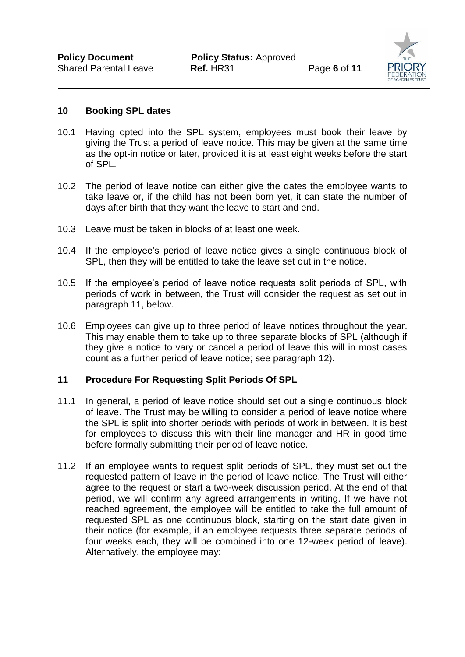

#### **10 Booking SPL dates**

- 10.1 Having opted into the SPL system, employees must book their leave by giving the Trust a period of leave notice. This may be given at the same time as the opt-in notice or later, provided it is at least eight weeks before the start of SPL.
- 10.2 The period of leave notice can either give the dates the employee wants to take leave or, if the child has not been born yet, it can state the number of days after birth that they want the leave to start and end.
- 10.3 Leave must be taken in blocks of at least one week.
- 10.4 If the employee's period of leave notice gives a single continuous block of SPL, then they will be entitled to take the leave set out in the notice.
- 10.5 If the employee's period of leave notice requests split periods of SPL, with periods of work in between, the Trust will consider the request as set out in paragraph 11, below.
- 10.6 Employees can give up to three period of leave notices throughout the year. This may enable them to take up to three separate blocks of SPL (although if they give a notice to vary or cancel a period of leave this will in most cases count as a further period of leave notice; see paragraph 12).

#### **11 Procedure For Requesting Split Periods Of SPL**

- 11.1 In general, a period of leave notice should set out a single continuous block of leave. The Trust may be willing to consider a period of leave notice where the SPL is split into shorter periods with periods of work in between. It is best for employees to discuss this with their line manager and HR in good time before formally submitting their period of leave notice.
- 11.2 If an employee wants to request split periods of SPL, they must set out the requested pattern of leave in the period of leave notice. The Trust will either agree to the request or start a two-week discussion period. At the end of that period, we will confirm any agreed arrangements in writing. If we have not reached agreement, the employee will be entitled to take the full amount of requested SPL as one continuous block, starting on the start date given in their notice (for example, if an employee requests three separate periods of four weeks each, they will be combined into one 12-week period of leave). Alternatively, the employee may: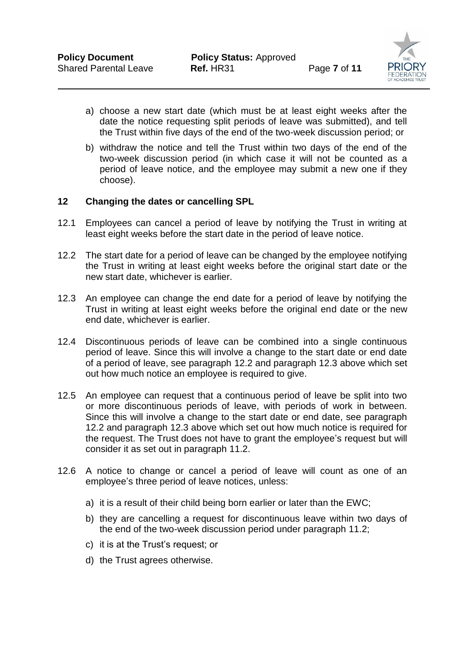

- a) choose a new start date (which must be at least eight weeks after the date the notice requesting split periods of leave was submitted), and tell the Trust within five days of the end of the two-week discussion period; or
- b) withdraw the notice and tell the Trust within two days of the end of the two-week discussion period (in which case it will not be counted as a period of leave notice, and the employee may submit a new one if they choose).

## **12 Changing the dates or cancelling SPL**

- 12.1 Employees can cancel a period of leave by notifying the Trust in writing at least eight weeks before the start date in the period of leave notice.
- 12.2 The start date for a period of leave can be changed by the employee notifying the Trust in writing at least eight weeks before the original start date or the new start date, whichever is earlier.
- 12.3 An employee can change the end date for a period of leave by notifying the Trust in writing at least eight weeks before the original end date or the new end date, whichever is earlier.
- 12.4 Discontinuous periods of leave can be combined into a single continuous period of leave. Since this will involve a change to the start date or end date of a period of leave, see paragraph 12.2 and paragraph 12.3 above which set out how much notice an employee is required to give.
- 12.5 An employee can request that a continuous period of leave be split into two or more discontinuous periods of leave, with periods of work in between. Since this will involve a change to the start date or end date, see paragraph 12.2 and paragraph 12.3 above which set out how much notice is required for the request. The Trust does not have to grant the employee's request but will consider it as set out in paragraph 11.2.
- 12.6 A notice to change or cancel a period of leave will count as one of an employee's three period of leave notices, unless:
	- a) it is a result of their child being born earlier or later than the EWC;
	- b) they are cancelling a request for discontinuous leave within two days of the end of the two-week discussion period under paragraph 11.2;
	- c) it is at the Trust's request; or
	- d) the Trust agrees otherwise.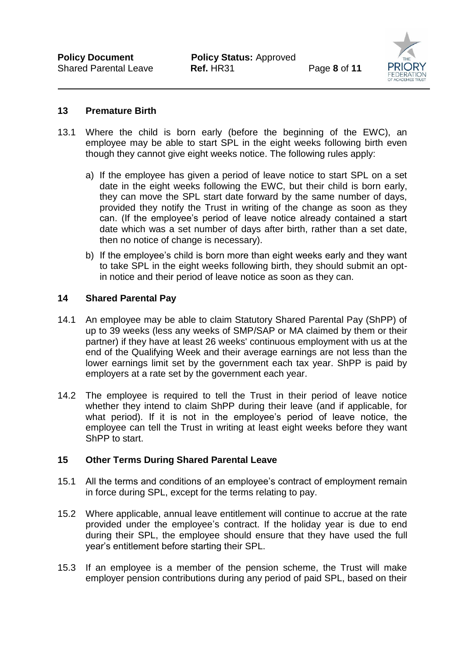

#### **13 Premature Birth**

- 13.1 Where the child is born early (before the beginning of the EWC), an employee may be able to start SPL in the eight weeks following birth even though they cannot give eight weeks notice. The following rules apply:
	- a) If the employee has given a period of leave notice to start SPL on a set date in the eight weeks following the EWC, but their child is born early, they can move the SPL start date forward by the same number of days, provided they notify the Trust in writing of the change as soon as they can. (If the employee's period of leave notice already contained a start date which was a set number of days after birth, rather than a set date, then no notice of change is necessary).
	- b) If the employee's child is born more than eight weeks early and they want to take SPL in the eight weeks following birth, they should submit an optin notice and their period of leave notice as soon as they can.

#### **14 Shared Parental Pay**

- 14.1 An employee may be able to claim Statutory Shared Parental Pay (ShPP) of up to 39 weeks (less any weeks of SMP/SAP or MA claimed by them or their partner) if they have at least 26 weeks' continuous employment with us at the end of the Qualifying Week and their average earnings are not less than the lower earnings limit set by the government each tax year. ShPP is paid by employers at a rate set by the government each year.
- 14.2 The employee is required to tell the Trust in their period of leave notice whether they intend to claim ShPP during their leave (and if applicable, for what period). If it is not in the employee's period of leave notice, the employee can tell the Trust in writing at least eight weeks before they want ShPP to start.

#### **15 Other Terms During Shared Parental Leave**

- 15.1 All the terms and conditions of an employee's contract of employment remain in force during SPL, except for the terms relating to pay.
- 15.2 Where applicable, annual leave entitlement will continue to accrue at the rate provided under the employee's contract. If the holiday year is due to end during their SPL, the employee should ensure that they have used the full year's entitlement before starting their SPL.
- 15.3 If an employee is a member of the pension scheme, the Trust will make employer pension contributions during any period of paid SPL, based on their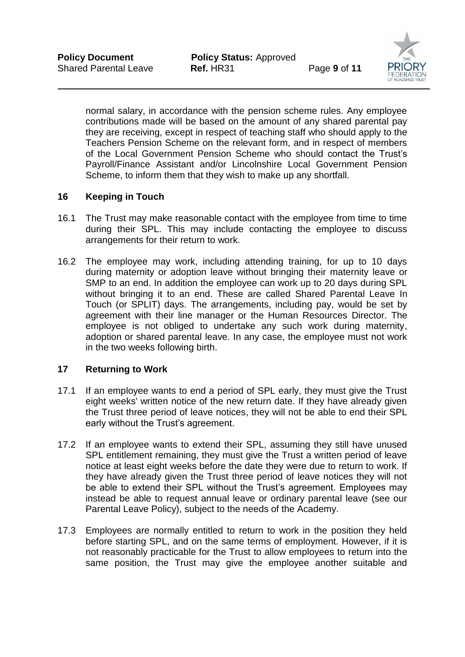

normal salary, in accordance with the pension scheme rules. Any employee contributions made will be based on the amount of any shared parental pay they are receiving, except in respect of teaching staff who should apply to the Teachers Pension Scheme on the relevant form, and in respect of members of the Local Government Pension Scheme who should contact the Trust's Payroll/Finance Assistant and/or Lincolnshire Local Government Pension Scheme, to inform them that they wish to make up any shortfall.

## **16 Keeping in Touch**

- 16.1 The Trust may make reasonable contact with the employee from time to time during their SPL. This may include contacting the employee to discuss arrangements for their return to work.
- 16.2 The employee may work, including attending training, for up to 10 days during maternity or adoption leave without bringing their maternity leave or SMP to an end. In addition the employee can work up to 20 days during SPL without bringing it to an end. These are called Shared Parental Leave In Touch (or SPLIT) days. The arrangements, including pay, would be set by agreement with their line manager or the Human Resources Director. The employee is not obliged to undertake any such work during maternity, adoption or shared parental leave. In any case, the employee must not work in the two weeks following birth.

#### **17 Returning to Work**

- 17.1 If an employee wants to end a period of SPL early, they must give the Trust eight weeks' written notice of the new return date. If they have already given the Trust three period of leave notices, they will not be able to end their SPL early without the Trust's agreement.
- 17.2 If an employee wants to extend their SPL, assuming they still have unused SPL entitlement remaining, they must give the Trust a written period of leave notice at least eight weeks before the date they were due to return to work. If they have already given the Trust three period of leave notices they will not be able to extend their SPL without the Trust's agreement. Employees may instead be able to request annual leave or ordinary parental leave (see our Parental Leave Policy), subject to the needs of the Academy.
- 17.3 Employees are normally entitled to return to work in the position they held before starting SPL, and on the same terms of employment. However, if it is not reasonably practicable for the Trust to allow employees to return into the same position, the Trust may give the employee another suitable and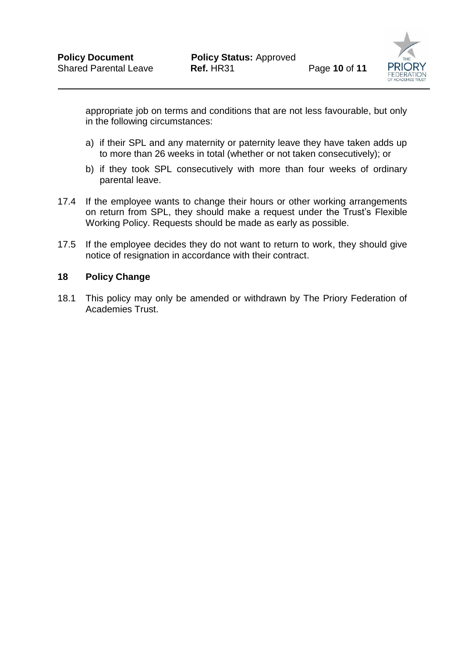

appropriate job on terms and conditions that are not less favourable, but only in the following circumstances:

- a) if their SPL and any maternity or paternity leave they have taken adds up to more than 26 weeks in total (whether or not taken consecutively); or
- b) if they took SPL consecutively with more than four weeks of ordinary parental leave.
- 17.4 If the employee wants to change their hours or other working arrangements on return from SPL, they should make a request under the Trust's Flexible Working Policy. Requests should be made as early as possible.
- 17.5 If the employee decides they do not want to return to work, they should give notice of resignation in accordance with their contract.

#### **18 Policy Change**

18.1 This policy may only be amended or withdrawn by The Priory Federation of Academies Trust.